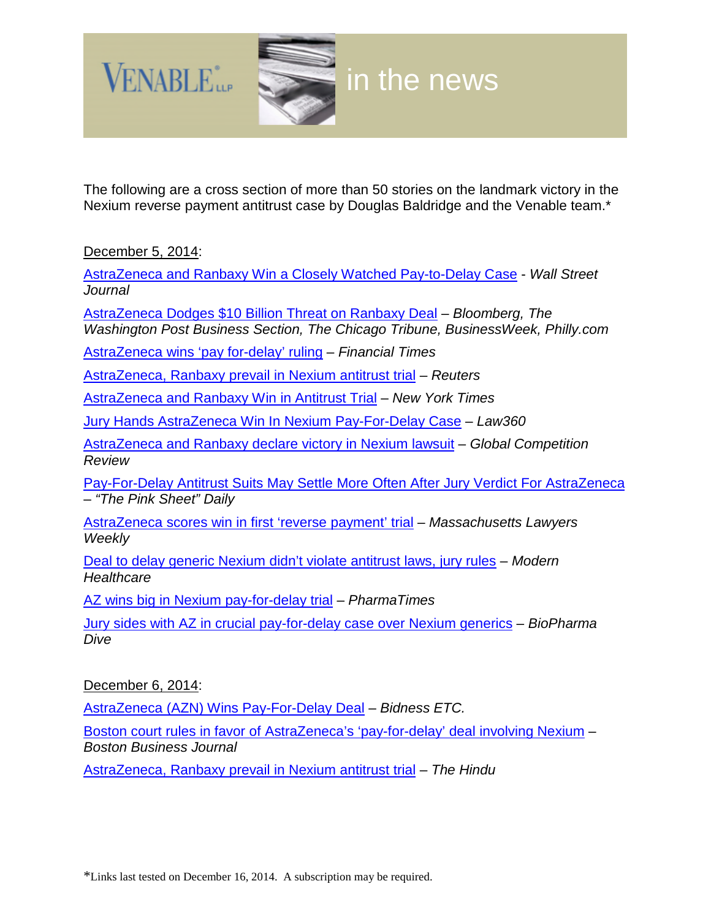

The following are a cross section of more than 50 stories on the landmark victory in the Nexium reverse payment antitrust case by Douglas Baldridge and the Venable team.\*

December 5, 2014:

[AstraZeneca and Ranbaxy Win a Closely Watched Pay-to-Delay Case](http://blogs.wsj.com/pharmalot/2014/12/05/astrazeneca-and-ranbaxy-win-a-closely-watched-pay-to-delay-case/) - *Wall Street Journal*

[AstraZeneca Dodges \\$10 Billion Threat on Ranbaxy Deal](http://www.bloomberg.com/news/2014-12-05/astrazeneca-dodges-10-billion-threat-on-ranbaxy-deal.html) – *Bloomberg, The Washington Post Business Section, The Chicago Tribune, BusinessWeek, Philly.com*

[AstraZeneca wins 'pay for-delay' ruling](http://www.ft.com/cms/s/0/85de4838-7ca4-11e4-9a86-00144feabdc0.html#axzz) – *Financial Times*

[AstraZeneca, Ranbaxy prevail in Nexium antitrust trial](http://www.reuters.com/article/2014/12/05/health-nexium-idUSL2N0TP1PR20141205) – *Reuters*

[AstraZeneca and Ranbaxy Win in Antitrust Trial](http://www.nytimes.com/2014/12/06/business/astrazeneca-and-ranbaxy-win-in-antitrust-trial.html?_r=0) – *New York Times*

[Jury Hands AstraZeneca Win In Nexium Pay-For-Delay Case](http://www.law360.com/articles/601935/jury-hands-astrazeneca-win-in-nexium-pay-for-delay-case) – *Law360*

[AstraZeneca and Ranbaxy declare victory in Nexium lawsuit](http://globalcompetitionreview.com/usa/article/37592/astrazeneca-ranbaxy-declare-victory-nexium-lawsuit/) – *Global Competition Review*

[Pay-For-Delay Antitrust Suits May Settle More Often After Jury Verdict For AstraZeneca](https://www.pharmamedtechbi.com/publications/the-pink-sheet-daily/2014/12/5/payfordelay-antitrust-suits-may-settle-more-often-after-jury-verdict-for-astrazeneca) – *"The Pink Sheet" Daily*

[AstraZeneca scores win in first 'reverse payment' trial](http://masslawyersweekly.com/2014/12/05/astrazeneca-scores-win-in-first-reverse-payment-trial/) – *Massachusetts Lawyers Weekly*

[Deal to delay generic Nexium didn't violate antitrust laws, jury rules](http://www.modernhealthcare.com/article/20141205/NEWS/312059959) – *Modern Healthcare*

[AZ wins big in Nexium pay-for-delay trial](http://www.pharmatimes.com/Article/14-12-05/UPDATED_AZ_wins_big_in_Nexium_pay-for-delay_trial.aspx) – *PharmaTimes*

[Jury sides with AZ in crucial pay-for-delay case over Nexium generics](http://www.biopharmadive.com/news/updated-jury-sides-with-az-in-crucial-pay-for-delay-case-over-nexium-gener/340755/) – *BioPharma Dive*

December 6, 2014:

[AstraZeneca \(AZN\) Wins Pay-For-Delay Deal](http://www.bidnessetc.com/30392-astrazeneca-azn-wins-payfordelay-deal/) – *Bidness ETC.*

[Boston court rules in favor of AstraZeneca's 'pay-for-delay' deal involving Nexium](http://www.bizjournals.com/boston/news/2014/12/06/boston-court-rules-in-favor-of-astrazenecas-pay.html) – *Boston Business Journal*

[AstraZeneca, Ranbaxy prevail in Nexium antitrust trial](http://www.thehindu.com/business/Industry/astrazeneca-ranbaxy-prevail-in-nexium-antitrust-trial/article6668271.ece) – *The Hindu*